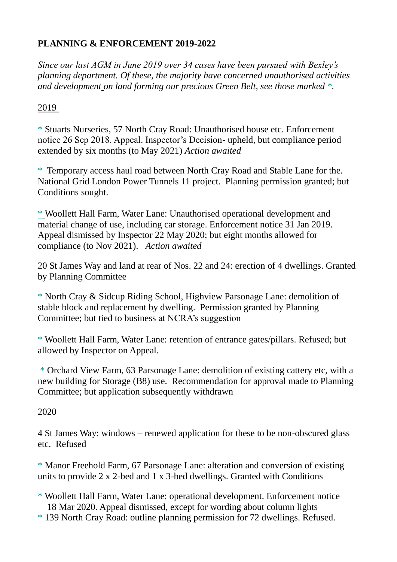## **PLANNING & ENFORCEMENT 2019-2022**

*Since our last AGM in June 2019 over 34 cases have been pursued with Bexley's planning department. Of these, the majority have concerned unauthorised activities and development on land forming our precious Green Belt, see those marked \*.* 

## 2019

\* Stuarts Nurseries, 57 North Cray Road: Unauthorised house etc. Enforcement notice 26 Sep 2018. Appeal. Inspector's Decision- upheld, but compliance period extended by six months (to May 2021) *Action awaited*

\* Temporary access haul road between North Cray Road and Stable Lane for the. National Grid London Power Tunnels 11 project. Planning permission granted; but Conditions sought.

\* Woollett Hall Farm, Water Lane: Unauthorised operational development and material change of use, including car storage. Enforcement notice 31 Jan 2019. Appeal dismissed by Inspector 22 May 2020; but eight months allowed for compliance (to Nov 2021). *Action awaited*

20 St James Way and land at rear of Nos. 22 and 24: erection of 4 dwellings. Granted by Planning Committee

\* North Cray & Sidcup Riding School, Highview Parsonage Lane: demolition of stable block and replacement by dwelling. Permission granted by Planning Committee; but tied to business at NCRA's suggestion

\* Woollett Hall Farm, Water Lane: retention of entrance gates/pillars. Refused; but allowed by Inspector on Appeal.

\* Orchard View Farm, 63 Parsonage Lane: demolition of existing cattery etc, with a new building for Storage (B8) use. Recommendation for approval made to Planning Committee; but application subsequently withdrawn

## 2020

4 St James Way: windows – renewed application for these to be non-obscured glass etc. Refused

\* Manor Freehold Farm, 67 Parsonage Lane: alteration and conversion of existing units to provide 2 x 2-bed and 1 x 3-bed dwellings. Granted with Conditions

- \* Woollett Hall Farm, Water Lane: operational development. Enforcement notice 18 Mar 2020. Appeal dismissed, except for wording about column lights
- \* 139 North Cray Road: outline planning permission for 72 dwellings. Refused.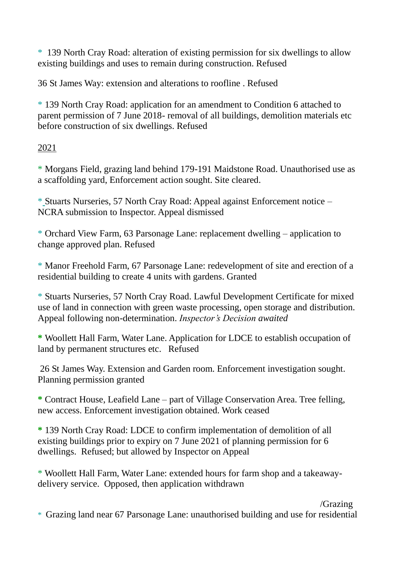\* 139 North Cray Road: alteration of existing permission for six dwellings to allow existing buildings and uses to remain during construction. Refused

36 St James Way: extension and alterations to roofline . Refused

\* 139 North Cray Road: application for an amendment to Condition 6 attached to parent permission of 7 June 2018- removal of all buildings, demolition materials etc before construction of six dwellings. Refused

2021

\* Morgans Field, grazing land behind 179-191 Maidstone Road. Unauthorised use as a scaffolding yard, Enforcement action sought. Site cleared.

\* Stuarts Nurseries, 57 North Cray Road: Appeal against Enforcement notice – NCRA submission to Inspector. Appeal dismissed

\* Orchard View Farm, 63 Parsonage Lane: replacement dwelling – application to change approved plan. Refused

\* Manor Freehold Farm, 67 Parsonage Lane: redevelopment of site and erection of a residential building to create 4 units with gardens. Granted

\* Stuarts Nurseries, 57 North Cray Road. Lawful Development Certificate for mixed use of land in connection with green waste processing, open storage and distribution. Appeal following non-determination. *Inspector's Decision awaited*

**\*** Woollett Hall Farm, Water Lane. Application for LDCE to establish occupation of land by permanent structures etc. Refused

26 St James Way. Extension and Garden room. Enforcement investigation sought. Planning permission granted

**\*** Contract House, Leafield Lane – part of Village Conservation Area. Tree felling, new access. Enforcement investigation obtained. Work ceased

**\*** 139 North Cray Road: LDCE to confirm implementation of demolition of all existing buildings prior to expiry on 7 June 2021 of planning permission for 6 dwellings. Refused; but allowed by Inspector on Appeal

\* Woollett Hall Farm, Water Lane: extended hours for farm shop and a takeawaydelivery service. Opposed, then application withdrawn

 /Grazing \* Grazing land near 67 Parsonage Lane: unauthorised building and use for residential